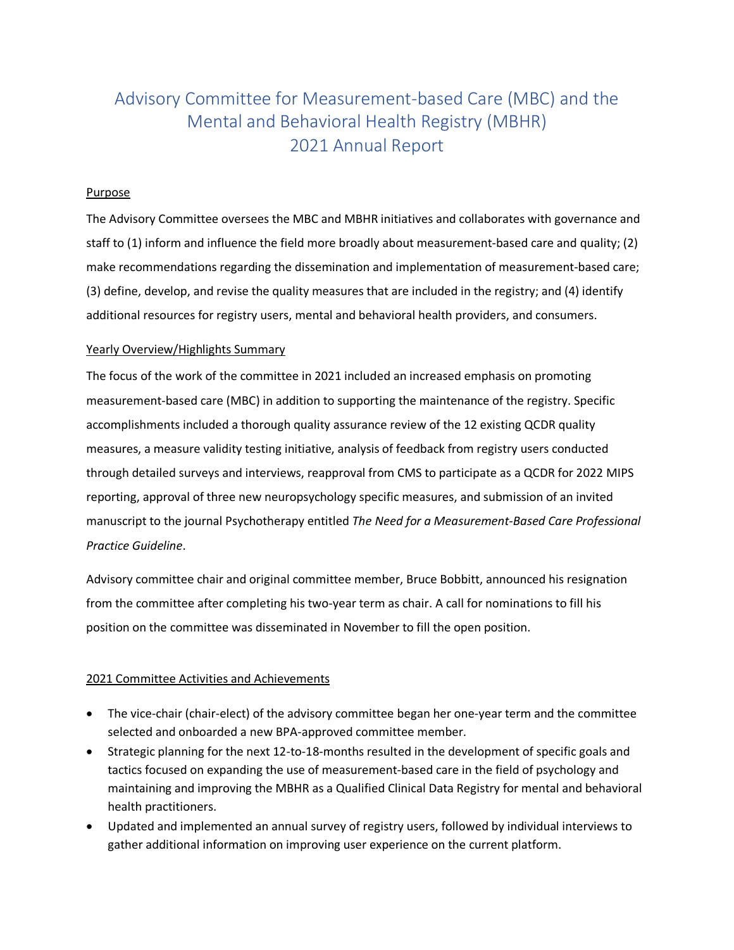# Advisory Committee for Measurement-based Care (MBC) and the Mental and Behavioral Health Registry (MBHR) 2021 Annual Report

## Purpose

The Advisory Committee oversees the MBC and MBHR initiatives and collaborates with governance and staff to (1) inform and influence the field more broadly about measurement-based care and quality; (2) make recommendations regarding the dissemination and implementation of measurement-based care; (3) define, develop, and revise the quality measures that are included in the registry; and (4) identify additional resources for registry users, mental and behavioral health providers, and consumers.

## Yearly Overview/Highlights Summary

The focus of the work of the committee in 2021 included an increased emphasis on promoting measurement-based care (MBC) in addition to supporting the maintenance of the registry. Specific accomplishments included a thorough quality assurance review of the 12 existing QCDR quality measures, a measure validity testing initiative, analysis of feedback from registry users conducted through detailed surveys and interviews, reapproval from CMS to participate as a QCDR for 2022 MIPS reporting, approval of three new neuropsychology specific measures, and submission of an invited manuscript to the journal Psychotherapy entitled *The Need for a Measurement-Based Care Professional Practice Guideline*.

Advisory committee chair and original committee member, Bruce Bobbitt, announced his resignation from the committee after completing his two-year term as chair. A call for nominations to fill his position on the committee was disseminated in November to fill the open position.

# 2021 Committee Activities and Achievements

- The vice-chair (chair-elect) of the advisory committee began her one-year term and the committee selected and onboarded a new BPA-approved committee member.
- Strategic planning for the next 12-to-18-months resulted in the development of specific goals and tactics focused on expanding the use of measurement-based care in the field of psychology and maintaining and improving the MBHR as a Qualified Clinical Data Registry for mental and behavioral health practitioners.
- Updated and implemented an annual survey of registry users, followed by individual interviews to gather additional information on improving user experience on the current platform.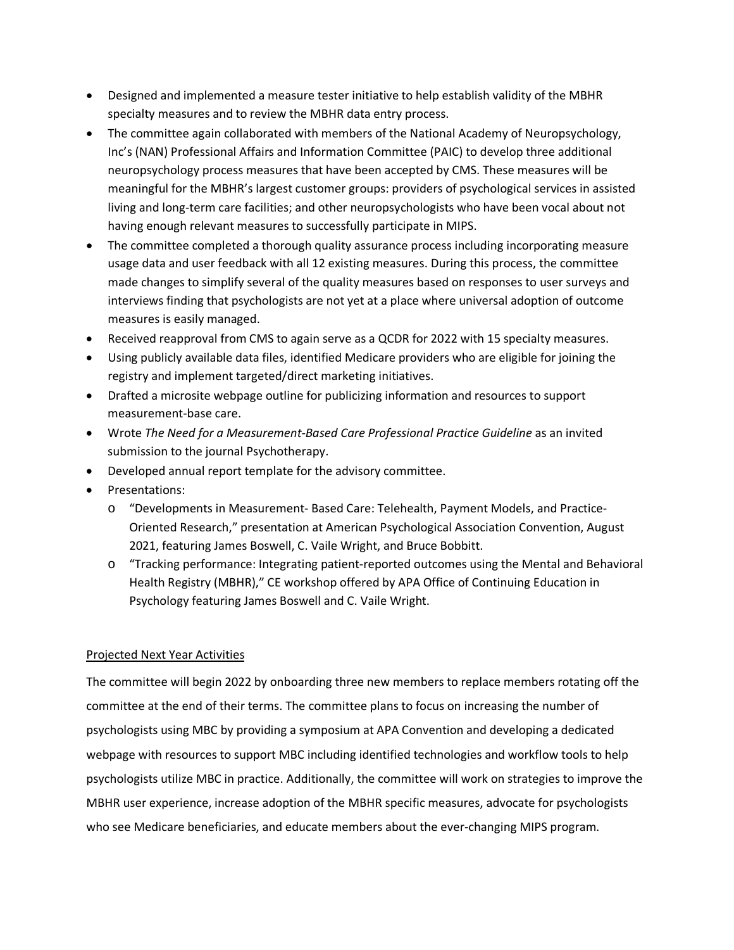- Designed and implemented a measure tester initiative to help establish validity of the MBHR specialty measures and to review the MBHR data entry process.
- The committee again collaborated with members of the National Academy of Neuropsychology, Inc's (NAN) Professional Affairs and Information Committee (PAIC) to develop three additional neuropsychology process measures that have been accepted by CMS. These measures will be meaningful for the MBHR's largest customer groups: providers of psychological services in assisted living and long-term care facilities; and other neuropsychologists who have been vocal about not having enough relevant measures to successfully participate in MIPS.
- The committee completed a thorough quality assurance process including incorporating measure usage data and user feedback with all 12 existing measures. During this process, the committee made changes to simplify several of the quality measures based on responses to user surveys and interviews finding that psychologists are not yet at a place where universal adoption of outcome measures is easily managed.
- Received reapproval from CMS to again serve as a QCDR for 2022 with 15 specialty measures.
- Using publicly available data files, identified Medicare providers who are eligible for joining the registry and implement targeted/direct marketing initiatives.
- Drafted a microsite webpage outline for publicizing information and resources to support measurement-base care.
- Wrote *The Need for a Measurement-Based Care Professional Practice Guideline* as an invited submission to the journal Psychotherapy.
- Developed annual report template for the advisory committee.
- Presentations:
	- o "Developments in Measurement- Based Care: Telehealth, Payment Models, and Practice-Oriented Research," presentation at American Psychological Association Convention, August 2021, featuring James Boswell, C. Vaile Wright, and Bruce Bobbitt.
	- o "Tracking performance: Integrating patient-reported outcomes using the Mental and Behavioral Health Registry (MBHR)," CE workshop offered by APA Office of Continuing Education in Psychology featuring James Boswell and C. Vaile Wright.

#### Projected Next Year Activities

The committee will begin 2022 by onboarding three new members to replace members rotating off the committee at the end of their terms. The committee plans to focus on increasing the number of psychologists using MBC by providing a symposium at APA Convention and developing a dedicated webpage with resources to support MBC including identified technologies and workflow tools to help psychologists utilize MBC in practice. Additionally, the committee will work on strategies to improve the MBHR user experience, increase adoption of the MBHR specific measures, advocate for psychologists who see Medicare beneficiaries, and educate members about the ever-changing MIPS program.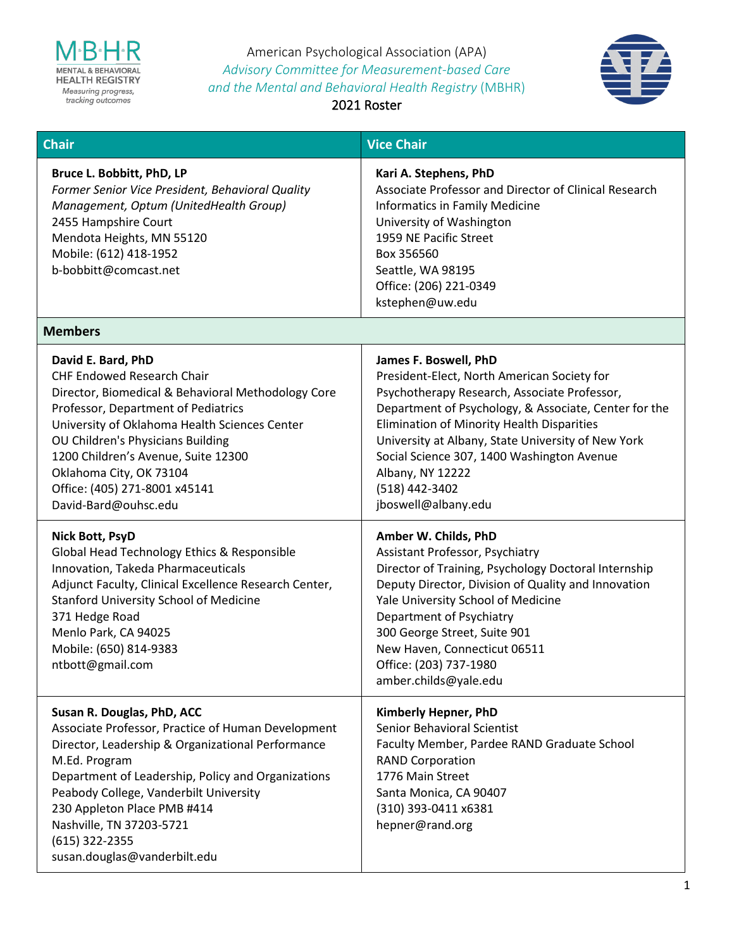

American Psychological Association (APA) *Advisory Committee for Measurement-based Care and the Mental and Behavioral Health Registry* (MBHR)



2021 Roster

| Chair                                                                                                                                                                                                                                                                                                                                                                 | <b>Vice Chair</b>                                                                                                                                                                                                                                                                                                                                                                                   |
|-----------------------------------------------------------------------------------------------------------------------------------------------------------------------------------------------------------------------------------------------------------------------------------------------------------------------------------------------------------------------|-----------------------------------------------------------------------------------------------------------------------------------------------------------------------------------------------------------------------------------------------------------------------------------------------------------------------------------------------------------------------------------------------------|
| Bruce L. Bobbitt, PhD, LP<br>Former Senior Vice President, Behavioral Quality<br>Management, Optum (UnitedHealth Group)<br>2455 Hampshire Court<br>Mendota Heights, MN 55120<br>Mobile: (612) 418-1952<br>b-bobbitt@comcast.net                                                                                                                                       | Kari A. Stephens, PhD<br>Associate Professor and Director of Clinical Research<br>Informatics in Family Medicine<br>University of Washington<br>1959 NE Pacific Street<br>Box 356560<br>Seattle, WA 98195<br>Office: (206) 221-0349<br>kstephen@uw.edu                                                                                                                                              |
| <b>Members</b>                                                                                                                                                                                                                                                                                                                                                        |                                                                                                                                                                                                                                                                                                                                                                                                     |
| David E. Bard, PhD<br><b>CHF Endowed Research Chair</b><br>Director, Biomedical & Behavioral Methodology Core<br>Professor, Department of Pediatrics<br>University of Oklahoma Health Sciences Center<br>OU Children's Physicians Building<br>1200 Children's Avenue, Suite 12300<br>Oklahoma City, OK 73104<br>Office: (405) 271-8001 x45141<br>David-Bard@ouhsc.edu | James F. Boswell, PhD<br>President-Elect, North American Society for<br>Psychotherapy Research, Associate Professor,<br>Department of Psychology, & Associate, Center for the<br><b>Elimination of Minority Health Disparities</b><br>University at Albany, State University of New York<br>Social Science 307, 1400 Washington Avenue<br>Albany, NY 12222<br>(518) 442-3402<br>jboswell@albany.edu |
| <b>Nick Bott, PsyD</b><br>Global Head Technology Ethics & Responsible<br>Innovation, Takeda Pharmaceuticals<br>Adjunct Faculty, Clinical Excellence Research Center,<br><b>Stanford University School of Medicine</b><br>371 Hedge Road<br>Menlo Park, CA 94025<br>Mobile: (650) 814-9383<br>ntbott@gmail.com                                                         | Amber W. Childs, PhD<br>Assistant Professor, Psychiatry<br>Director of Training, Psychology Doctoral Internship<br>Deputy Director, Division of Quality and Innovation<br>Yale University School of Medicine<br>Department of Psychiatry<br>300 George Street, Suite 901<br>New Haven, Connecticut 06511<br>Office: (203) 737-1980<br>amber.childs@yale.edu                                         |
| Susan R. Douglas, PhD, ACC<br>Associate Professor, Practice of Human Development<br>Director, Leadership & Organizational Performance<br>M.Ed. Program<br>Department of Leadership, Policy and Organizations<br>Peabody College, Vanderbilt University<br>230 Appleton Place PMB #414<br>Nashville, TN 37203-5721<br>(615) 322-2355<br>susan.douglas@vanderbilt.edu   | Kimberly Hepner, PhD<br><b>Senior Behavioral Scientist</b><br>Faculty Member, Pardee RAND Graduate School<br><b>RAND Corporation</b><br>1776 Main Street<br>Santa Monica, CA 90407<br>(310) 393-0411 x6381<br>hepner@rand.org                                                                                                                                                                       |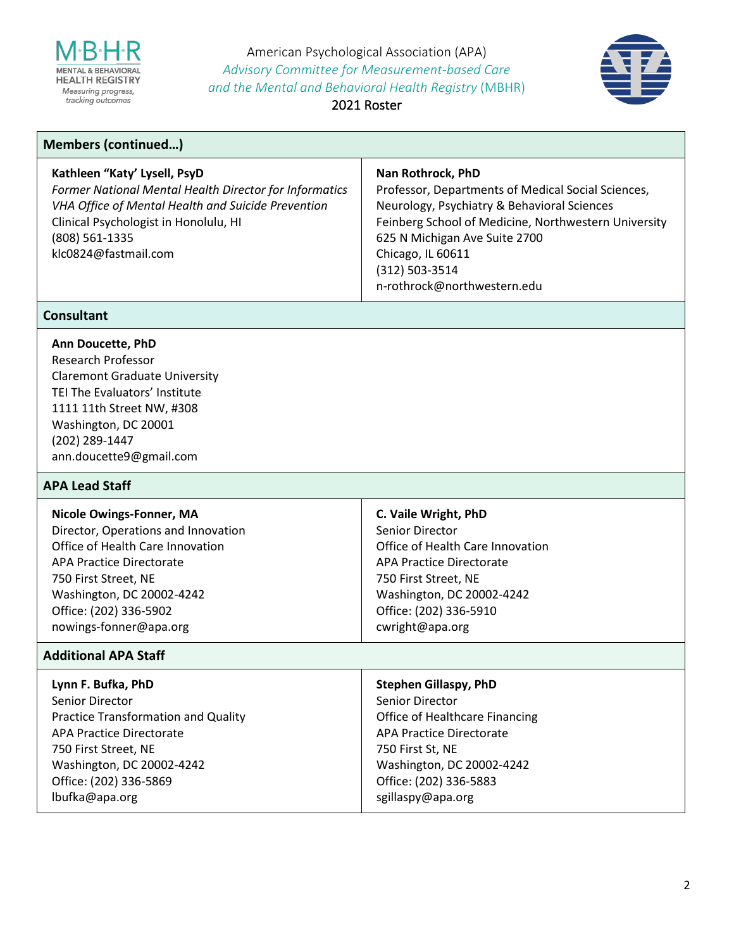

American Psychological Association (APA) *Advisory Committee for Measurement-based Care and the Mental and Behavioral Health Registry* (MBHR)



2021 Roster

# **Members (continued…)**

#### **Kathleen "Katy' Lysell, PsyD**

*Former National Mental Health Director for Informatics VHA Office of Mental Health and Suicide Prevention* Clinical Psychologist in Honolulu, HI (808) 561-1335 klc0824@fastmail.com

#### **Nan Rothrock, PhD**

Professor, Departments of Medical Social Sciences, Neurology, Psychiatry & Behavioral Sciences Feinberg School of Medicine, Northwestern University 625 N Michigan Ave Suite 2700 Chicago, IL 60611 (312) 503-3514 n-rothrock@northwestern.edu

#### **Consultant**

# **Ann Doucette, PhD**

Research Professor Claremont Graduate University TEI The Evaluators' Institute 1111 11th Street NW, #308 Washington, DC 20001 (202) 289-1447 ann.doucette9@gmail.com

#### **APA Lead Staff**

#### **Additional APA Staff**

| Lynn F. Bufka, PhD                         | <b>Stephen Gillaspy, PhD</b>          |
|--------------------------------------------|---------------------------------------|
| Senior Director                            | Senior Director                       |
| <b>Practice Transformation and Quality</b> | <b>Office of Healthcare Financing</b> |
| APA Practice Directorate                   | <b>APA Practice Directorate</b>       |
| 750 First Street, NE                       | 750 First St, NE                      |
| Washington, DC 20002-4242                  | Washington, DC 20002-4242             |
| Office: (202) 336-5869                     | Office: (202) 336-5883                |
| lbufka@apa.org                             | sgillaspy@apa.org                     |
|                                            |                                       |